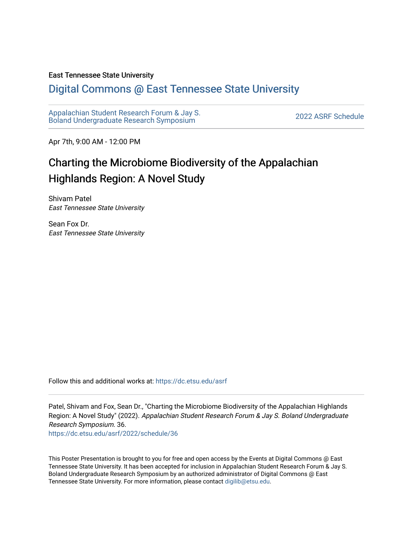#### East Tennessee State University

#### [Digital Commons @ East Tennessee State University](https://dc.etsu.edu/)

[Appalachian Student Research Forum & Jay S.](https://dc.etsu.edu/asrf)  Appalactifalt Student Research Forum & Jay S.<br>Boland Undergraduate Research Symposium

Apr 7th, 9:00 AM - 12:00 PM

#### Charting the Microbiome Biodiversity of the Appalachian Highlands Region: A Novel Study

Shivam Patel East Tennessee State University

Sean Fox Dr. East Tennessee State University

Follow this and additional works at: [https://dc.etsu.edu/asrf](https://dc.etsu.edu/asrf?utm_source=dc.etsu.edu%2Fasrf%2F2022%2Fschedule%2F36&utm_medium=PDF&utm_campaign=PDFCoverPages) 

Patel, Shivam and Fox, Sean Dr., "Charting the Microbiome Biodiversity of the Appalachian Highlands Region: A Novel Study" (2022). Appalachian Student Research Forum & Jay S. Boland Undergraduate Research Symposium. 36.

[https://dc.etsu.edu/asrf/2022/schedule/36](https://dc.etsu.edu/asrf/2022/schedule/36?utm_source=dc.etsu.edu%2Fasrf%2F2022%2Fschedule%2F36&utm_medium=PDF&utm_campaign=PDFCoverPages) 

This Poster Presentation is brought to you for free and open access by the Events at Digital Commons @ East Tennessee State University. It has been accepted for inclusion in Appalachian Student Research Forum & Jay S. Boland Undergraduate Research Symposium by an authorized administrator of Digital Commons @ East Tennessee State University. For more information, please contact [digilib@etsu.edu](mailto:digilib@etsu.edu).